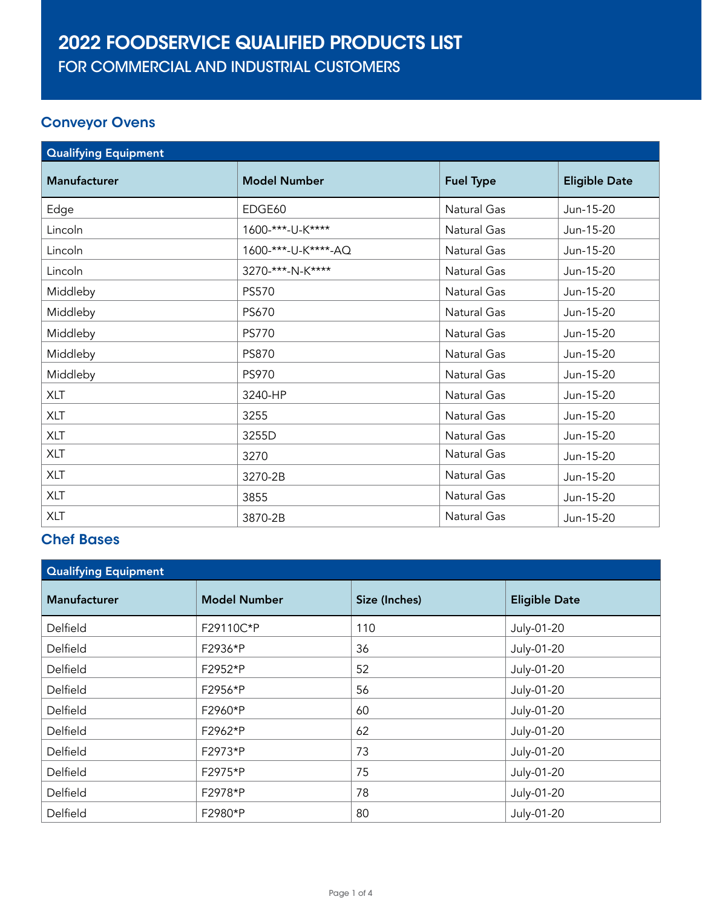# 2022 FOODSERVICE QUALIFIED PRODUCTS LIST

FOR COMMERCIAL AND INDUSTRIAL CUSTOMERS

#### Conveyor Ovens

| <b>Qualifying Equipment</b> |                     |                  |                      |
|-----------------------------|---------------------|------------------|----------------------|
| <b>Manufacturer</b>         | <b>Model Number</b> | <b>Fuel Type</b> | <b>Eligible Date</b> |
| Edge                        | EDGE60              | Natural Gas      | Jun-15-20            |
| Lincoln                     | 1600-***-U-K****    | Natural Gas      | Jun-15-20            |
| Lincoln                     | 1600-***-U-K****-AQ | Natural Gas      | Jun-15-20            |
| Lincoln                     | 3270-***-N-K****    | Natural Gas      | Jun-15-20            |
| Middleby                    | PS570               | Natural Gas      | Jun-15-20            |
| Middleby                    | PS670               | Natural Gas      | Jun-15-20            |
| Middleby                    | <b>PS770</b>        | Natural Gas      | Jun-15-20            |
| Middleby                    | <b>PS870</b>        | Natural Gas      | Jun-15-20            |
| Middleby                    | PS970               | Natural Gas      | Jun-15-20            |
| <b>XLT</b>                  | 3240-HP             | Natural Gas      | Jun-15-20            |
| <b>XLT</b>                  | 3255                | Natural Gas      | Jun-15-20            |
| <b>XLT</b>                  | 3255D               | Natural Gas      | Jun-15-20            |
| <b>XLT</b>                  | 3270                | Natural Gas      | Jun-15-20            |
| <b>XLT</b>                  | 3270-2B             | Natural Gas      | Jun-15-20            |
| <b>XLT</b>                  | 3855                | Natural Gas      | Jun-15-20            |
| <b>XLT</b>                  | 3870-2B             | Natural Gas      | Jun-15-20            |

## Chef Bases

| <b>Qualifying Equipment</b> |                     |               |                      |
|-----------------------------|---------------------|---------------|----------------------|
| <b>Manufacturer</b>         | <b>Model Number</b> | Size (Inches) | <b>Eligible Date</b> |
| Delfield                    | F29110C*P           | 110           | July-01-20           |
| Delfield                    | F2936*P             | 36            | July-01-20           |
| Delfield                    | F2952*P             | 52            | July-01-20           |
| Delfield                    | F2956*P             | 56            | July-01-20           |
| Delfield                    | F2960*P             | 60            | July-01-20           |
| Delfield                    | F2962*P             | 62            | July-01-20           |
| Delfield                    | F2973*P             | 73            | July-01-20           |
| Delfield                    | F2975*P             | 75            | July-01-20           |
| Delfield                    | F2978*P             | 78            | July-01-20           |
| Delfield                    | F2980*P             | 80            | July-01-20           |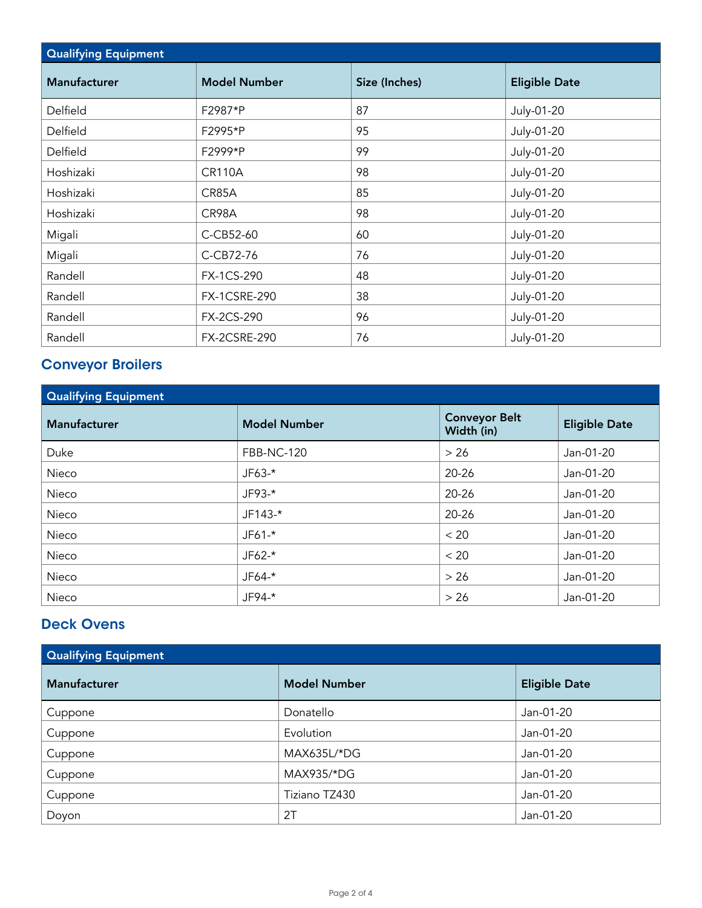| <b>Qualifying Equipment</b> |                     |               |                      |
|-----------------------------|---------------------|---------------|----------------------|
| <b>Manufacturer</b>         | <b>Model Number</b> | Size (Inches) | <b>Eligible Date</b> |
| Delfield                    | F2987*P             | 87            | July-01-20           |
| Delfield                    | F2995*P             | 95            | July-01-20           |
| Delfield                    | F2999*P             | 99            | July-01-20           |
| Hoshizaki                   | <b>CR110A</b>       | 98            | July-01-20           |
| Hoshizaki                   | CR85A               | 85            | July-01-20           |
| Hoshizaki                   | CR98A               | 98            | July-01-20           |
| Migali                      | C-CB52-60           | 60            | July-01-20           |
| Migali                      | C-CB72-76           | 76            | July-01-20           |
| Randell                     | FX-1CS-290          | 48            | July-01-20           |
| Randell                     | <b>FX-1CSRE-290</b> | 38            | July-01-20           |
| Randell                     | FX-2CS-290          | 96            | July-01-20           |
| Randell                     | <b>FX-2CSRE-290</b> | 76            | July-01-20           |

#### Conveyor Broilers

| <b>Qualifying Equipment</b> |                     |                                    |                      |
|-----------------------------|---------------------|------------------------------------|----------------------|
| <b>Manufacturer</b>         | <b>Model Number</b> | <b>Conveyor Belt</b><br>Width (in) | <b>Eligible Date</b> |
| Duke                        | <b>FBB-NC-120</b>   | $>26$                              | Jan-01-20            |
| Nieco                       | JF63-*              | $20 - 26$                          | Jan-01-20            |
| Nieco                       | $JF93-*$            | $20 - 26$                          | Jan-01-20            |
| Nieco                       | $JF143-*$           | 20-26                              | Jan-01-20            |
| Nieco                       | $JF61-$ *           | < 20                               | Jan-01-20            |
| Nieco                       | $JF62-*$            | < 20                               | Jan-01-20            |
| Nieco                       | JF64-*              | $>26$                              | Jan-01-20            |
| Nieco                       | JF94-*              | > 26                               | Jan-01-20            |

#### Deck Ovens

| <b>Qualifying Equipment</b> |                     |                      |  |
|-----------------------------|---------------------|----------------------|--|
| Manufacturer                | <b>Model Number</b> | <b>Eligible Date</b> |  |
| Cuppone                     | Donatello           | Jan-01-20            |  |
| Cuppone                     | Evolution           | Jan-01-20            |  |
| Cuppone                     | MAX635L/*DG         | Jan-01-20            |  |
| Cuppone                     | MAX935/*DG          | Jan-01-20            |  |
| Cuppone                     | Tiziano TZ430       | Jan-01-20            |  |
| Doyon                       | 2T                  | Jan-01-20            |  |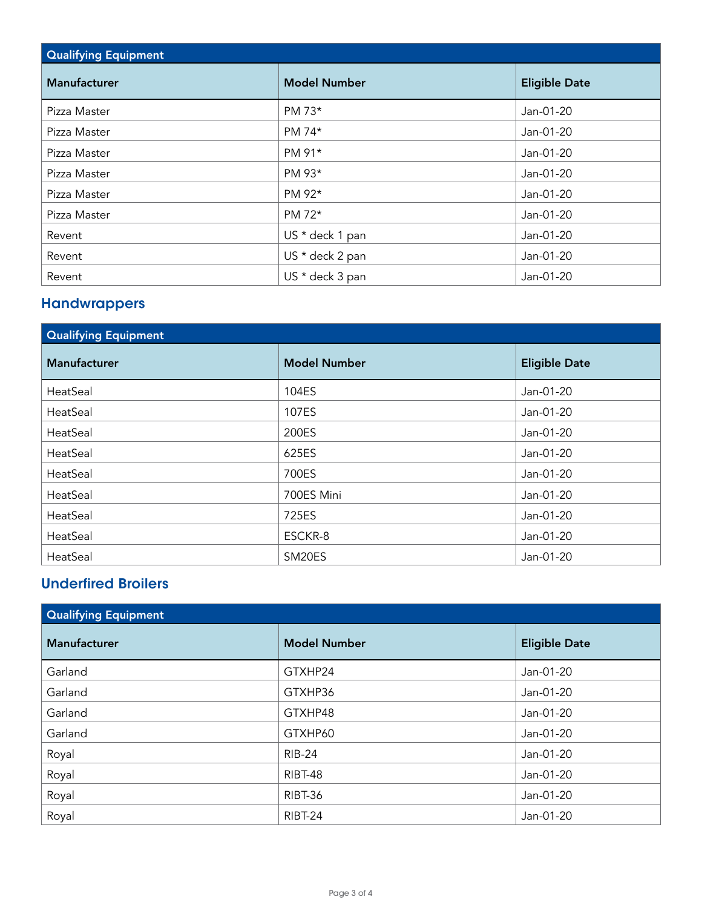| <b>Qualifying Equipment</b> |                     |                      |  |
|-----------------------------|---------------------|----------------------|--|
| Manufacturer                | <b>Model Number</b> | <b>Eligible Date</b> |  |
| Pizza Master                | PM 73*              | Jan-01-20            |  |
| Pizza Master                | PM 74*              | Jan-01-20            |  |
| Pizza Master                | PM 91*              | Jan-01-20            |  |
| Pizza Master                | PM 93*              | Jan-01-20            |  |
| Pizza Master                | PM 92*              | Jan-01-20            |  |
| Pizza Master                | PM 72*              | Jan-01-20            |  |
| Revent                      | US * deck 1 pan     | Jan-01-20            |  |
| Revent                      | US * deck 2 pan     | Jan-01-20            |  |
| Revent                      | US * deck 3 pan     | Jan-01-20            |  |

#### **Handwrappers**

| <b>Qualifying Equipment</b> |                     |                      |  |
|-----------------------------|---------------------|----------------------|--|
| <b>Manufacturer</b>         | <b>Model Number</b> | <b>Eligible Date</b> |  |
| HeatSeal                    | 104ES               | Jan-01-20            |  |
| HeatSeal                    | 107ES               | Jan-01-20            |  |
| HeatSeal                    | 200ES               | Jan-01-20            |  |
| HeatSeal                    | 625ES               | Jan-01-20            |  |
| HeatSeal                    | 700ES               | Jan-01-20            |  |
| HeatSeal                    | 700ES Mini          | Jan-01-20            |  |
| HeatSeal                    | 725ES               | Jan-01-20            |  |
| HeatSeal                    | ESCKR-8             | Jan-01-20            |  |
| HeatSeal                    | SM20ES              | Jan-01-20            |  |

### Underfired Broilers

| <b>Qualifying Equipment</b> |                     |                      |  |
|-----------------------------|---------------------|----------------------|--|
| <b>Manufacturer</b>         | <b>Model Number</b> | <b>Eligible Date</b> |  |
| Garland                     | GTXHP24             | Jan-01-20            |  |
| Garland                     | GTXHP36             | Jan-01-20            |  |
| Garland                     | GTXHP48             | Jan-01-20            |  |
| Garland                     | GTXHP60             | Jan-01-20            |  |
| Royal                       | <b>RIB-24</b>       | Jan-01-20            |  |
| Royal                       | RIBT-48             | Jan-01-20            |  |
| Royal                       | RIBT-36             | Jan-01-20            |  |
| Royal                       | RIBT-24             | Jan-01-20            |  |